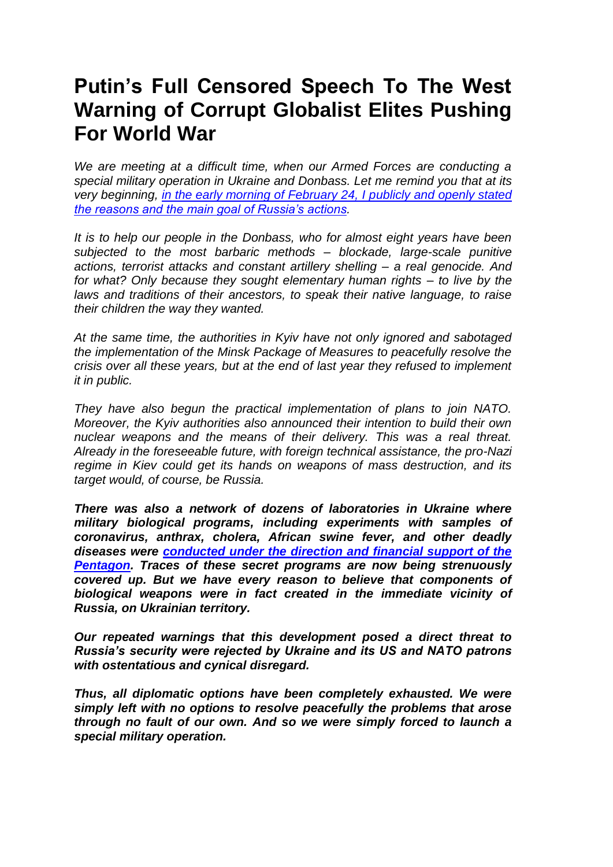## **Putin's Full Censored Speech To The West Warning of Corrupt Globalist Elites Pushing For World War**

*We are meeting at a difficult time, when our Armed Forces are conducting a special military operation in Ukraine and Donbass. Let me remind you that at its very beginning, [in the early morning of February 24, I publicly and openly stated](https://www.infowars.com/posts/putin-speech-russia-had-no-other-option-but-to-launch-ukraine-invasion-because-west-deceived-us-about-nato-expansion/)  [the reasons and the main goal of Russia's actions.](https://www.infowars.com/posts/putin-speech-russia-had-no-other-option-but-to-launch-ukraine-invasion-because-west-deceived-us-about-nato-expansion/)*

*It is to help our people in the Donbass, who for almost eight years have been subjected to the most barbaric methods – blockade, large-scale punitive actions, terrorist attacks and constant artillery shelling – a real genocide. And for what? Only because they sought elementary human rights – to live by the laws and traditions of their ancestors, to speak their native language, to raise their children the way they wanted.*

*At the same time, the authorities in Kyiv have not only ignored and sabotaged the implementation of the Minsk Package of Measures to peacefully resolve the crisis over all these years, but at the end of last year they refused to implement it in public.*

*They have also begun the practical implementation of plans to join NATO. Moreover, the Kyiv authorities also announced their intention to build their own nuclear weapons and the means of their delivery. This was a real threat. Already in the foreseeable future, with foreign technical assistance, the pro-Nazi regime in Kiev could get its hands on weapons of mass destruction, and its target would, of course, be Russia.*

*There was also a network of dozens of laboratories in Ukraine where military biological programs, including experiments with samples of coronavirus, anthrax, cholera, African swine fever, and other deadly diseases were [conducted under the direction and financial support of the](https://www.infowars.com/posts/russian-military-accuses-pentagon-of-destroying-evidence-of-secret-biological-experiments-in-ukraine-pt-1/)  [Pentagon.](https://www.infowars.com/posts/russian-military-accuses-pentagon-of-destroying-evidence-of-secret-biological-experiments-in-ukraine-pt-1/) Traces of these secret programs are now being strenuously covered up. But we have every reason to believe that components of biological weapons were in fact created in the immediate vicinity of Russia, on Ukrainian territory.*

*Our repeated warnings that this development posed a direct threat to Russia's security were rejected by Ukraine and its US and NATO patrons with ostentatious and cynical disregard.*

*Thus, all diplomatic options have been completely exhausted. We were simply left with no options to resolve peacefully the problems that arose through no fault of our own. And so we were simply forced to launch a special military operation.*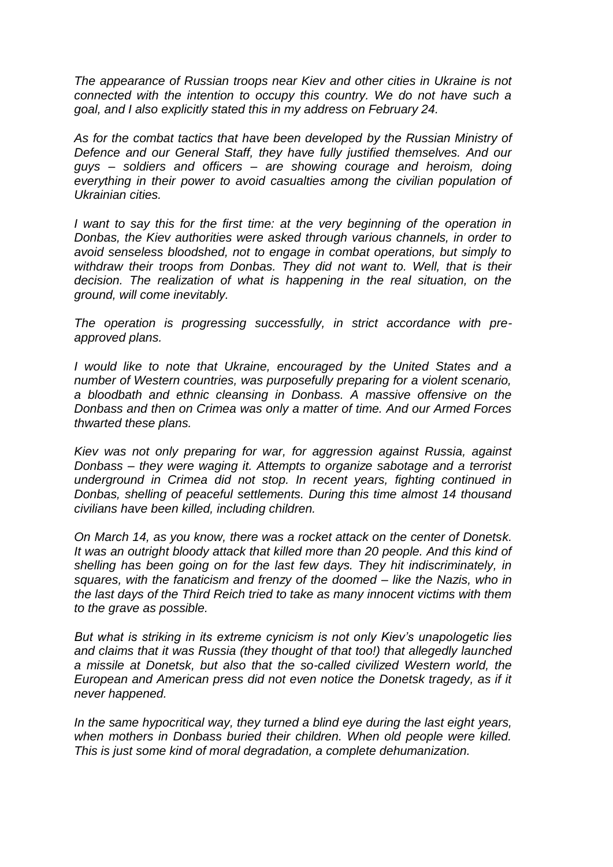*The appearance of Russian troops near Kiev and other cities in Ukraine is not connected with the intention to occupy this country. We do not have such a goal, and I also explicitly stated this in my address on February 24.*

*As for the combat tactics that have been developed by the Russian Ministry of Defence and our General Staff, they have fully justified themselves. And our guys – soldiers and officers – are showing courage and heroism, doing everything in their power to avoid casualties among the civilian population of Ukrainian cities.*

*I* want to say this for the first time: at the very beginning of the operation in *Donbas, the Kiev authorities were asked through various channels, in order to avoid senseless bloodshed, not to engage in combat operations, but simply to*  withdraw their troops from Donbas. They did not want to. Well, that is their *decision. The realization of what is happening in the real situation, on the ground, will come inevitably.*

*The operation is progressing successfully, in strict accordance with preapproved plans.*

*I would like to note that Ukraine, encouraged by the United States and a number of Western countries, was purposefully preparing for a violent scenario, a bloodbath and ethnic cleansing in Donbass. A massive offensive on the Donbass and then on Crimea was only a matter of time. And our Armed Forces thwarted these plans.*

*Kiev was not only preparing for war, for aggression against Russia, against Donbass – they were waging it. Attempts to organize sabotage and a terrorist underground in Crimea did not stop. In recent years, fighting continued in Donbas, shelling of peaceful settlements. During this time almost 14 thousand civilians have been killed, including children.*

*On March 14, as you know, there was a rocket attack on the center of Donetsk. It was an outright bloody attack that killed more than 20 people. And this kind of shelling has been going on for the last few days. They hit indiscriminately, in squares, with the fanaticism and frenzy of the doomed – like the Nazis, who in the last days of the Third Reich tried to take as many innocent victims with them to the grave as possible.*

*But what is striking in its extreme cynicism is not only Kiev's unapologetic lies and claims that it was Russia (they thought of that too!) that allegedly launched a missile at Donetsk, but also that the so-called civilized Western world, the European and American press did not even notice the Donetsk tragedy, as if it never happened.*

*In the same hypocritical way, they turned a blind eye during the last eight years, when mothers in Donbass buried their children. When old people were killed. This is just some kind of moral degradation, a complete dehumanization.*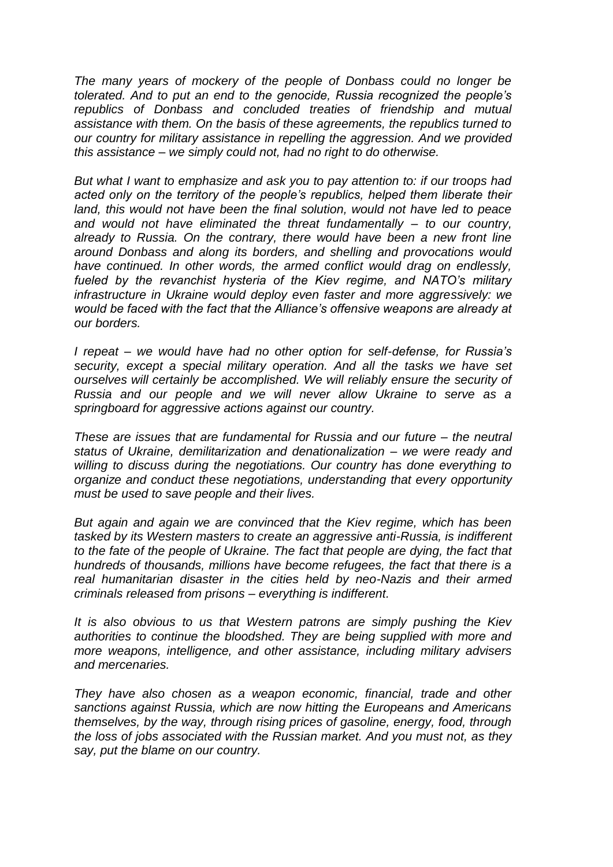*The many years of mockery of the people of Donbass could no longer be tolerated. And to put an end to the genocide, Russia recognized the people's republics of Donbass and concluded treaties of friendship and mutual assistance with them. On the basis of these agreements, the republics turned to our country for military assistance in repelling the aggression. And we provided this assistance – we simply could not, had no right to do otherwise.*

*But what I want to emphasize and ask you to pay attention to: if our troops had acted only on the territory of the people's republics, helped them liberate their land, this would not have been the final solution, would not have led to peace and would not have eliminated the threat fundamentally – to our country, already to Russia. On the contrary, there would have been a new front line around Donbass and along its borders, and shelling and provocations would have continued. In other words, the armed conflict would drag on endlessly, fueled by the revanchist hysteria of the Kiev regime, and NATO's military infrastructure in Ukraine would deploy even faster and more aggressively: we would be faced with the fact that the Alliance's offensive weapons are already at our borders.*

*I repeat – we would have had no other option for self-defense, for Russia's security, except a special military operation. And all the tasks we have set ourselves will certainly be accomplished. We will reliably ensure the security of Russia and our people and we will never allow Ukraine to serve as a springboard for aggressive actions against our country.*

*These are issues that are fundamental for Russia and our future – the neutral status of Ukraine, demilitarization and denationalization – we were ready and willing to discuss during the negotiations. Our country has done everything to organize and conduct these negotiations, understanding that every opportunity must be used to save people and their lives.*

*But again and again we are convinced that the Kiev regime, which has been tasked by its Western masters to create an aggressive anti-Russia, is indifferent to the fate of the people of Ukraine. The fact that people are dying, the fact that hundreds of thousands, millions have become refugees, the fact that there is a real humanitarian disaster in the cities held by neo-Nazis and their armed criminals released from prisons – everything is indifferent.*

*It is also obvious to us that Western patrons are simply pushing the Kiev authorities to continue the bloodshed. They are being supplied with more and more weapons, intelligence, and other assistance, including military advisers and mercenaries.*

*They have also chosen as a weapon economic, financial, trade and other sanctions against Russia, which are now hitting the Europeans and Americans themselves, by the way, through rising prices of gasoline, energy, food, through the loss of jobs associated with the Russian market. And you must not, as they say, put the blame on our country.*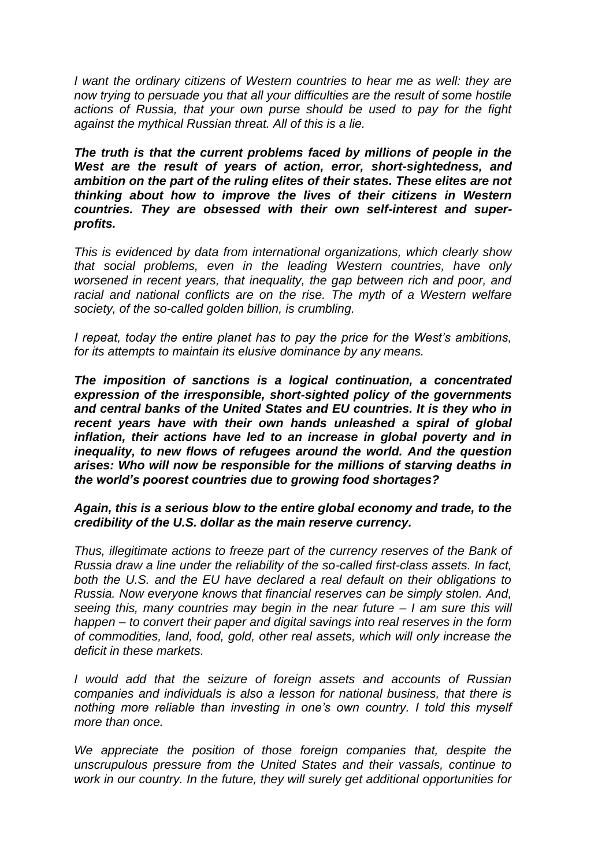*I* want the ordinary citizens of Western countries to hear me as well: they are *now trying to persuade you that all your difficulties are the result of some hostile actions of Russia, that your own purse should be used to pay for the fight against the mythical Russian threat. All of this is a lie.*

*The truth is that the current problems faced by millions of people in the West are the result of years of action, error, short-sightedness, and ambition on the part of the ruling elites of their states. These elites are not thinking about how to improve the lives of their citizens in Western countries. They are obsessed with their own self-interest and superprofits.*

*This is evidenced by data from international organizations, which clearly show that social problems, even in the leading Western countries, have only worsened in recent years, that inequality, the gap between rich and poor, and*  racial and national conflicts are on the rise. The myth of a Western welfare *society, of the so-called golden billion, is crumbling.*

*I repeat, today the entire planet has to pay the price for the West's ambitions, for its attempts to maintain its elusive dominance by any means.*

*The imposition of sanctions is a logical continuation, a concentrated expression of the irresponsible, short-sighted policy of the governments and central banks of the United States and EU countries. It is they who in recent years have with their own hands unleashed a spiral of global inflation, their actions have led to an increase in global poverty and in inequality, to new flows of refugees around the world. And the question arises: Who will now be responsible for the millions of starving deaths in the world's poorest countries due to growing food shortages?*

## *Again, this is a serious blow to the entire global economy and trade, to the credibility of the U.S. dollar as the main reserve currency.*

*Thus, illegitimate actions to freeze part of the currency reserves of the Bank of Russia draw a line under the reliability of the so-called first-class assets. In fact, both the U.S. and the EU have declared a real default on their obligations to Russia. Now everyone knows that financial reserves can be simply stolen. And, seeing this, many countries may begin in the near future – I am sure this will happen – to convert their paper and digital savings into real reserves in the form of commodities, land, food, gold, other real assets, which will only increase the deficit in these markets.*

*I would add that the seizure of foreign assets and accounts of Russian companies and individuals is also a lesson for national business, that there is nothing more reliable than investing in one's own country. I told this myself more than once.*

We appreciate the position of those foreign companies that, despite the *unscrupulous pressure from the United States and their vassals, continue to work in our country. In the future, they will surely get additional opportunities for*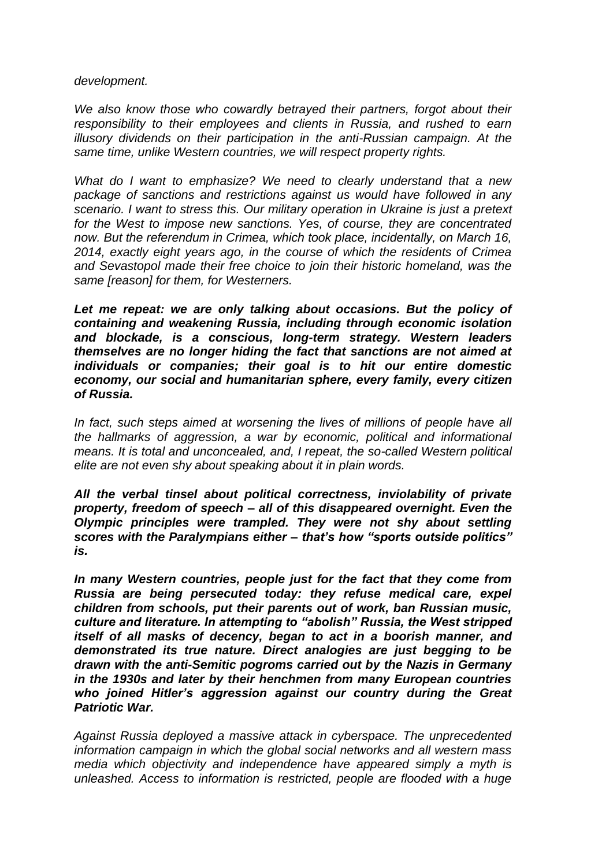*development.*

We also know those who cowardly betrayed their partners, forgot about their *responsibility to their employees and clients in Russia, and rushed to earn illusory dividends on their participation in the anti-Russian campaign. At the same time, unlike Western countries, we will respect property rights.*

*What do I want to emphasize? We need to clearly understand that a new package of sanctions and restrictions against us would have followed in any scenario. I want to stress this. Our military operation in Ukraine is just a pretext for the West to impose new sanctions. Yes, of course, they are concentrated now. But the referendum in Crimea, which took place, incidentally, on March 16, 2014, exactly eight years ago, in the course of which the residents of Crimea and Sevastopol made their free choice to join their historic homeland, was the same [reason] for them, for Westerners.*

Let me repeat: we are only talking about occasions. But the policy of *containing and weakening Russia, including through economic isolation and blockade, is a conscious, long-term strategy. Western leaders themselves are no longer hiding the fact that sanctions are not aimed at individuals or companies; their goal is to hit our entire domestic economy, our social and humanitarian sphere, every family, every citizen of Russia.*

*In fact, such steps aimed at worsening the lives of millions of people have all the hallmarks of aggression, a war by economic, political and informational means. It is total and unconcealed, and, I repeat, the so-called Western political elite are not even shy about speaking about it in plain words.*

*All the verbal tinsel about political correctness, inviolability of private property, freedom of speech – all of this disappeared overnight. Even the Olympic principles were trampled. They were not shy about settling scores with the Paralympians either – that's how "sports outside politics" is.*

*In many Western countries, people just for the fact that they come from Russia are being persecuted today: they refuse medical care, expel children from schools, put their parents out of work, ban Russian music, culture and literature. In attempting to "abolish" Russia, the West stripped itself of all masks of decency, began to act in a boorish manner, and demonstrated its true nature. Direct analogies are just begging to be drawn with the anti-Semitic pogroms carried out by the Nazis in Germany in the 1930s and later by their henchmen from many European countries who joined Hitler's aggression against our country during the Great Patriotic War.*

*Against Russia deployed a massive attack in cyberspace. The unprecedented information campaign in which the global social networks and all western mass media which objectivity and independence have appeared simply a myth is unleashed. Access to information is restricted, people are flooded with a huge*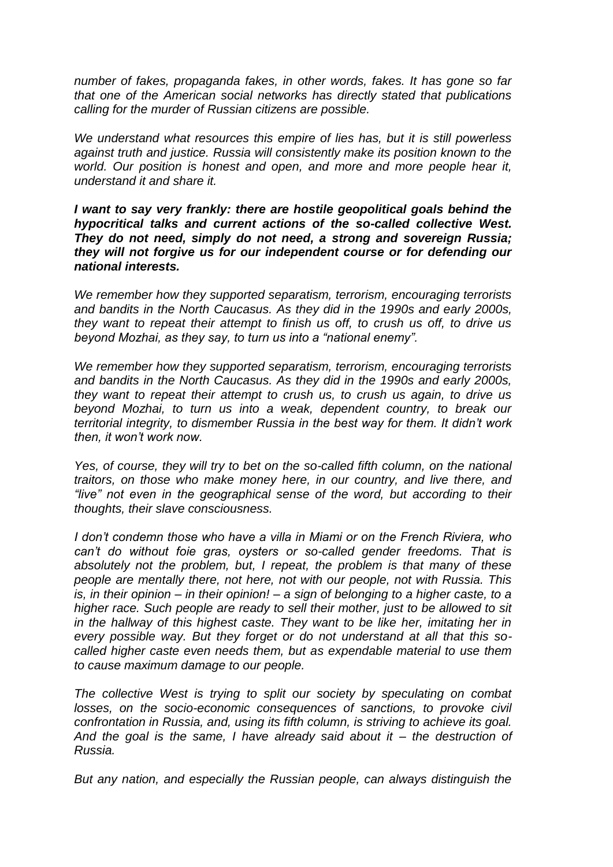*number of fakes, propaganda fakes, in other words, fakes. It has gone so far that one of the American social networks has directly stated that publications calling for the murder of Russian citizens are possible.*

*We understand what resources this empire of lies has, but it is still powerless against truth and justice. Russia will consistently make its position known to the world. Our position is honest and open, and more and more people hear it, understand it and share it.*

*I want to say very frankly: there are hostile geopolitical goals behind the hypocritical talks and current actions of the so-called collective West. They do not need, simply do not need, a strong and sovereign Russia; they will not forgive us for our independent course or for defending our national interests.*

*We remember how they supported separatism, terrorism, encouraging terrorists and bandits in the North Caucasus. As they did in the 1990s and early 2000s, they want to repeat their attempt to finish us off, to crush us off, to drive us beyond Mozhai, as they say, to turn us into a "national enemy".*

*We remember how they supported separatism, terrorism, encouraging terrorists and bandits in the North Caucasus. As they did in the 1990s and early 2000s, they want to repeat their attempt to crush us, to crush us again, to drive us beyond Mozhai, to turn us into a weak, dependent country, to break our territorial integrity, to dismember Russia in the best way for them. It didn't work then, it won't work now.*

*Yes, of course, they will try to bet on the so-called fifth column, on the national traitors, on those who make money here, in our country, and live there, and "live" not even in the geographical sense of the word, but according to their thoughts, their slave consciousness.*

*I don't condemn those who have a villa in Miami or on the French Riviera, who*  can't do without foie gras, oysters or so-called gender freedoms. That is *absolutely not the problem, but, I repeat, the problem is that many of these people are mentally there, not here, not with our people, not with Russia. This is, in their opinion – in their opinion! – a sign of belonging to a higher caste, to a higher race. Such people are ready to sell their mother, just to be allowed to sit in the hallway of this highest caste. They want to be like her, imitating her in every possible way. But they forget or do not understand at all that this socalled higher caste even needs them, but as expendable material to use them to cause maximum damage to our people.*

*The collective West is trying to split our society by speculating on combat losses, on the socio-economic consequences of sanctions, to provoke civil confrontation in Russia, and, using its fifth column, is striving to achieve its goal. And the goal is the same, I have already said about it – the destruction of Russia.*

*But any nation, and especially the Russian people, can always distinguish the*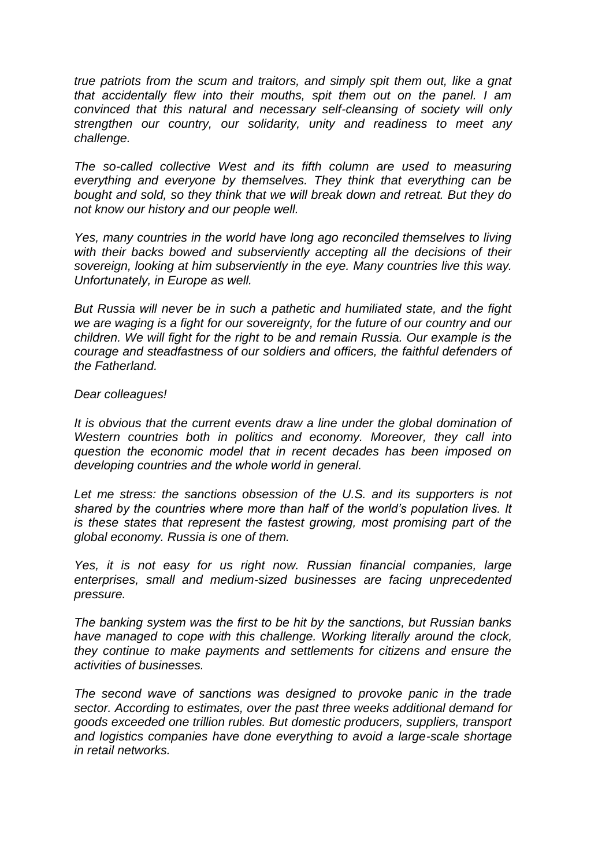*true patriots from the scum and traitors, and simply spit them out, like a gnat that accidentally flew into their mouths, spit them out on the panel. I am convinced that this natural and necessary self-cleansing of society will only strengthen our country, our solidarity, unity and readiness to meet any challenge.*

*The so-called collective West and its fifth column are used to measuring everything and everyone by themselves. They think that everything can be bought and sold, so they think that we will break down and retreat. But they do not know our history and our people well.*

*Yes, many countries in the world have long ago reconciled themselves to living*  with their backs bowed and subserviently accepting all the decisions of their *sovereign, looking at him subserviently in the eye. Many countries live this way. Unfortunately, in Europe as well.*

*But Russia will never be in such a pathetic and humiliated state, and the fight we are waging is a fight for our sovereignty, for the future of our country and our children. We will fight for the right to be and remain Russia. Our example is the courage and steadfastness of our soldiers and officers, the faithful defenders of the Fatherland.*

## *Dear colleagues!*

*It is obvious that the current events draw a line under the global domination of Western countries both in politics and economy. Moreover, they call into question the economic model that in recent decades has been imposed on developing countries and the whole world in general.*

*Let me stress: the sanctions obsession of the U.S. and its supporters is not shared by the countries where more than half of the world's population lives. It is these states that represent the fastest growing, most promising part of the global economy. Russia is one of them.*

Yes, it is not easy for us right now. Russian financial companies, large *enterprises, small and medium-sized businesses are facing unprecedented pressure.*

*The banking system was the first to be hit by the sanctions, but Russian banks*  have managed to cope with this challenge. Working literally around the clock, *they continue to make payments and settlements for citizens and ensure the activities of businesses.*

*The second wave of sanctions was designed to provoke panic in the trade sector. According to estimates, over the past three weeks additional demand for goods exceeded one trillion rubles. But domestic producers, suppliers, transport and logistics companies have done everything to avoid a large-scale shortage in retail networks.*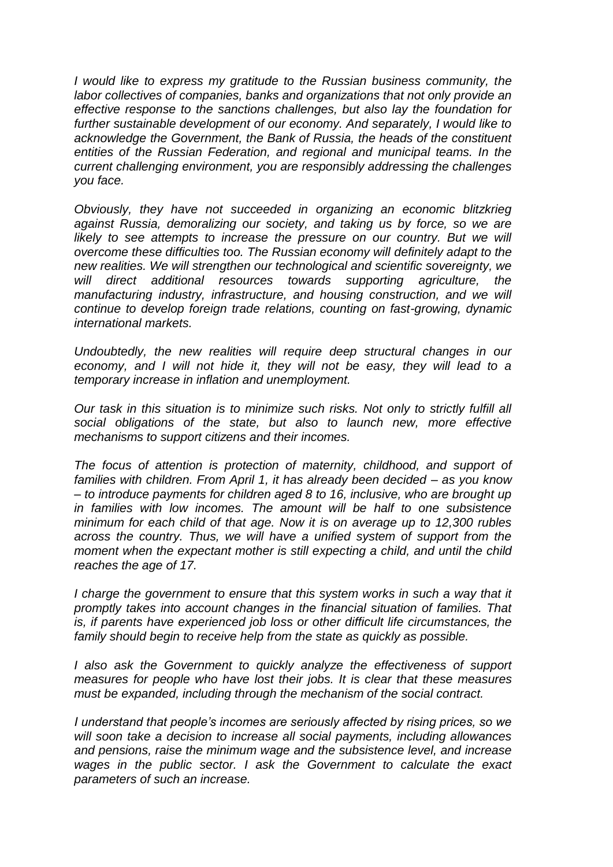*I would like to express my gratitude to the Russian business community, the labor collectives of companies, banks and organizations that not only provide an effective response to the sanctions challenges, but also lay the foundation for further sustainable development of our economy. And separately, I would like to acknowledge the Government, the Bank of Russia, the heads of the constituent entities of the Russian Federation, and regional and municipal teams. In the current challenging environment, you are responsibly addressing the challenges you face.*

*Obviously, they have not succeeded in organizing an economic blitzkrieg against Russia, demoralizing our society, and taking us by force, so we are likely to see attempts to increase the pressure on our country. But we will overcome these difficulties too. The Russian economy will definitely adapt to the new realities. We will strengthen our technological and scientific sovereignty, we will direct additional resources towards supporting agriculture, the manufacturing industry, infrastructure, and housing construction, and we will continue to develop foreign trade relations, counting on fast-growing, dynamic international markets.*

*Undoubtedly, the new realities will require deep structural changes in our economy, and I will not hide it, they will not be easy, they will lead to a temporary increase in inflation and unemployment.*

*Our task in this situation is to minimize such risks. Not only to strictly fulfill all social obligations of the state, but also to launch new, more effective mechanisms to support citizens and their incomes.*

*The focus of attention is protection of maternity, childhood, and support of families with children. From April 1, it has already been decided – as you know – to introduce payments for children aged 8 to 16, inclusive, who are brought up in families with low incomes. The amount will be half to one subsistence minimum for each child of that age. Now it is on average up to 12,300 rubles across the country. Thus, we will have a unified system of support from the moment when the expectant mother is still expecting a child, and until the child reaches the age of 17.*

*I* charge the government to ensure that this system works in such a way that it *promptly takes into account changes in the financial situation of families. That is, if parents have experienced job loss or other difficult life circumstances, the family should begin to receive help from the state as quickly as possible.*

*I* also ask the Government to quickly analyze the effectiveness of support *measures for people who have lost their jobs. It is clear that these measures must be expanded, including through the mechanism of the social contract.*

*I understand that people's incomes are seriously affected by rising prices, so we will soon take a decision to increase all social payments, including allowances and pensions, raise the minimum wage and the subsistence level, and increase wages in the public sector. I ask the Government to calculate the exact parameters of such an increase.*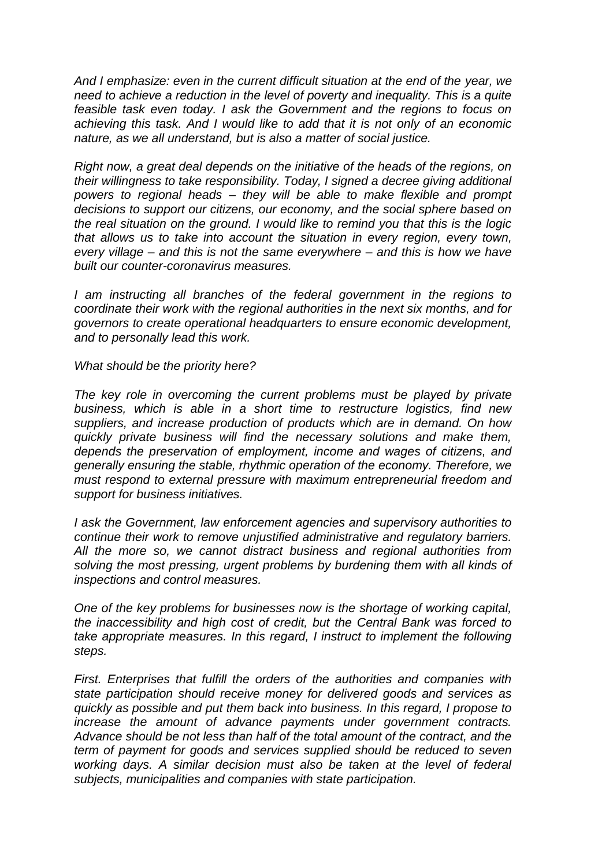*And I emphasize: even in the current difficult situation at the end of the year, we need to achieve a reduction in the level of poverty and inequality. This is a quite feasible task even today. I ask the Government and the regions to focus on achieving this task. And I would like to add that it is not only of an economic nature, as we all understand, but is also a matter of social justice.*

*Right now, a great deal depends on the initiative of the heads of the regions, on their willingness to take responsibility. Today, I signed a decree giving additional powers to regional heads – they will be able to make flexible and prompt decisions to support our citizens, our economy, and the social sphere based on the real situation on the ground. I would like to remind you that this is the logic that allows us to take into account the situation in every region, every town, every village – and this is not the same everywhere – and this is how we have built our counter-coronavirus measures.*

*I* am instructing all branches of the federal government in the regions to *coordinate their work with the regional authorities in the next six months, and for governors to create operational headquarters to ensure economic development, and to personally lead this work.*

*What should be the priority here?*

*The key role in overcoming the current problems must be played by private business, which is able in a short time to restructure logistics, find new suppliers, and increase production of products which are in demand. On how quickly private business will find the necessary solutions and make them, depends the preservation of employment, income and wages of citizens, and generally ensuring the stable, rhythmic operation of the economy. Therefore, we must respond to external pressure with maximum entrepreneurial freedom and support for business initiatives.*

*I ask the Government, law enforcement agencies and supervisory authorities to continue their work to remove unjustified administrative and regulatory barriers. All the more so, we cannot distract business and regional authorities from solving the most pressing, urgent problems by burdening them with all kinds of inspections and control measures.*

*One of the key problems for businesses now is the shortage of working capital, the inaccessibility and high cost of credit, but the Central Bank was forced to*  take appropriate measures. In this regard, I instruct to implement the following *steps.*

*First. Enterprises that fulfill the orders of the authorities and companies with state participation should receive money for delivered goods and services as quickly as possible and put them back into business. In this regard, I propose to increase the amount of advance payments under government contracts. Advance should be not less than half of the total amount of the contract, and the term of payment for goods and services supplied should be reduced to seven working days. A similar decision must also be taken at the level of federal subjects, municipalities and companies with state participation.*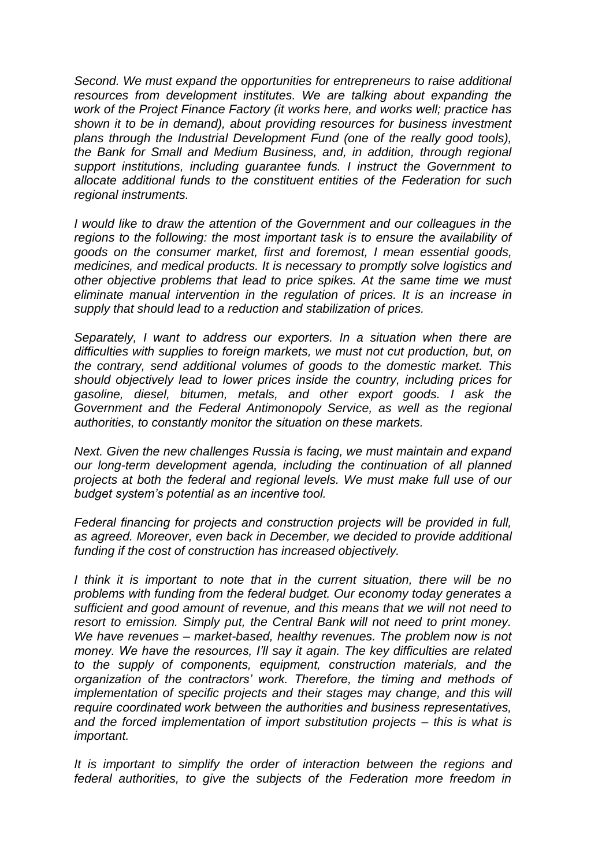*Second. We must expand the opportunities for entrepreneurs to raise additional resources from development institutes. We are talking about expanding the work of the Project Finance Factory (it works here, and works well; practice has shown it to be in demand), about providing resources for business investment plans through the Industrial Development Fund (one of the really good tools), the Bank for Small and Medium Business, and, in addition, through regional support institutions, including guarantee funds. I instruct the Government to allocate additional funds to the constituent entities of the Federation for such regional instruments.*

*I would like to draw the attention of the Government and our colleagues in the regions to the following: the most important task is to ensure the availability of goods on the consumer market, first and foremost, I mean essential goods, medicines, and medical products. It is necessary to promptly solve logistics and other objective problems that lead to price spikes. At the same time we must eliminate manual intervention in the regulation of prices. It is an increase in supply that should lead to a reduction and stabilization of prices.*

*Separately, I want to address our exporters. In a situation when there are difficulties with supplies to foreign markets, we must not cut production, but, on the contrary, send additional volumes of goods to the domestic market. This should objectively lead to lower prices inside the country, including prices for gasoline, diesel, bitumen, metals, and other export goods. I ask the Government and the Federal Antimonopoly Service, as well as the regional authorities, to constantly monitor the situation on these markets.*

*Next. Given the new challenges Russia is facing, we must maintain and expand our long-term development agenda, including the continuation of all planned projects at both the federal and regional levels. We must make full use of our budget system's potential as an incentive tool.*

*Federal financing for projects and construction projects will be provided in full, as agreed. Moreover, even back in December, we decided to provide additional funding if the cost of construction has increased objectively.*

*I think it is important to note that in the current situation, there will be no problems with funding from the federal budget. Our economy today generates a sufficient and good amount of revenue, and this means that we will not need to resort to emission. Simply put, the Central Bank will not need to print money. We have revenues – market-based, healthy revenues. The problem now is not money. We have the resources, I'll say it again. The key difficulties are related to the supply of components, equipment, construction materials, and the organization of the contractors' work. Therefore, the timing and methods of implementation of specific projects and their stages may change, and this will require coordinated work between the authorities and business representatives, and the forced implementation of import substitution projects – this is what is important.*

*It is important to simplify the order of interaction between the regions and federal authorities, to give the subjects of the Federation more freedom in*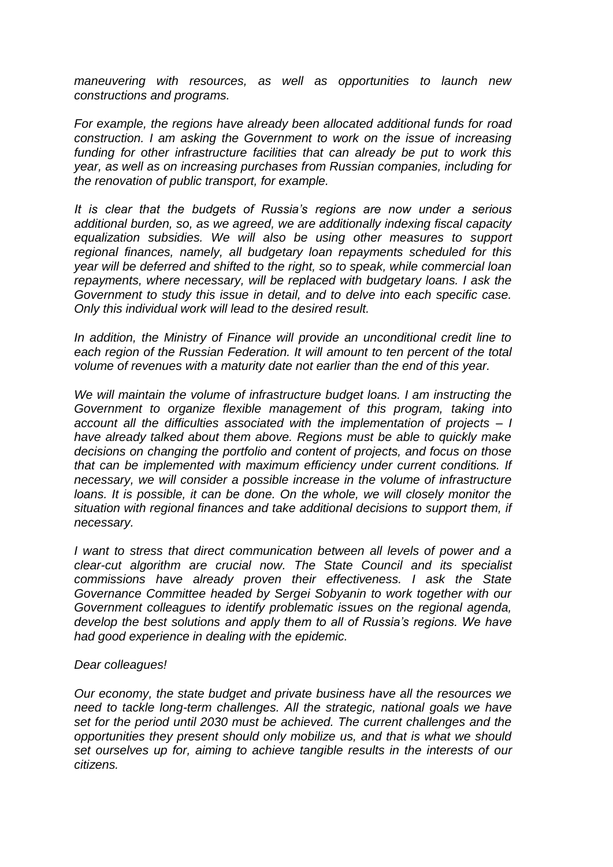*maneuvering with resources, as well as opportunities to launch new constructions and programs.*

*For example, the regions have already been allocated additional funds for road construction. I am asking the Government to work on the issue of increasing funding for other infrastructure facilities that can already be put to work this year, as well as on increasing purchases from Russian companies, including for the renovation of public transport, for example.*

*It is clear that the budgets of Russia's regions are now under a serious additional burden, so, as we agreed, we are additionally indexing fiscal capacity equalization subsidies. We will also be using other measures to support regional finances, namely, all budgetary loan repayments scheduled for this year will be deferred and shifted to the right, so to speak, while commercial loan repayments, where necessary, will be replaced with budgetary loans. I ask the Government to study this issue in detail, and to delve into each specific case. Only this individual work will lead to the desired result.*

*In addition, the Ministry of Finance will provide an unconditional credit line to each region of the Russian Federation. It will amount to ten percent of the total volume of revenues with a maturity date not earlier than the end of this year.*

*We will maintain the volume of infrastructure budget loans. I am instructing the Government to organize flexible management of this program, taking into account all the difficulties associated with the implementation of projects – I have already talked about them above. Regions must be able to quickly make decisions on changing the portfolio and content of projects, and focus on those that can be implemented with maximum efficiency under current conditions. If necessary, we will consider a possible increase in the volume of infrastructure loans. It is possible, it can be done. On the whole, we will closely monitor the situation with regional finances and take additional decisions to support them, if necessary.*

*I want to stress that direct communication between all levels of power and a clear-cut algorithm are crucial now. The State Council and its specialist commissions have already proven their effectiveness. I ask the State Governance Committee headed by Sergei Sobyanin to work together with our Government colleagues to identify problematic issues on the regional agenda, develop the best solutions and apply them to all of Russia's regions. We have had good experience in dealing with the epidemic.*

## *Dear colleagues!*

*Our economy, the state budget and private business have all the resources we need to tackle long-term challenges. All the strategic, national goals we have set for the period until 2030 must be achieved. The current challenges and the opportunities they present should only mobilize us, and that is what we should set ourselves up for, aiming to achieve tangible results in the interests of our citizens.*